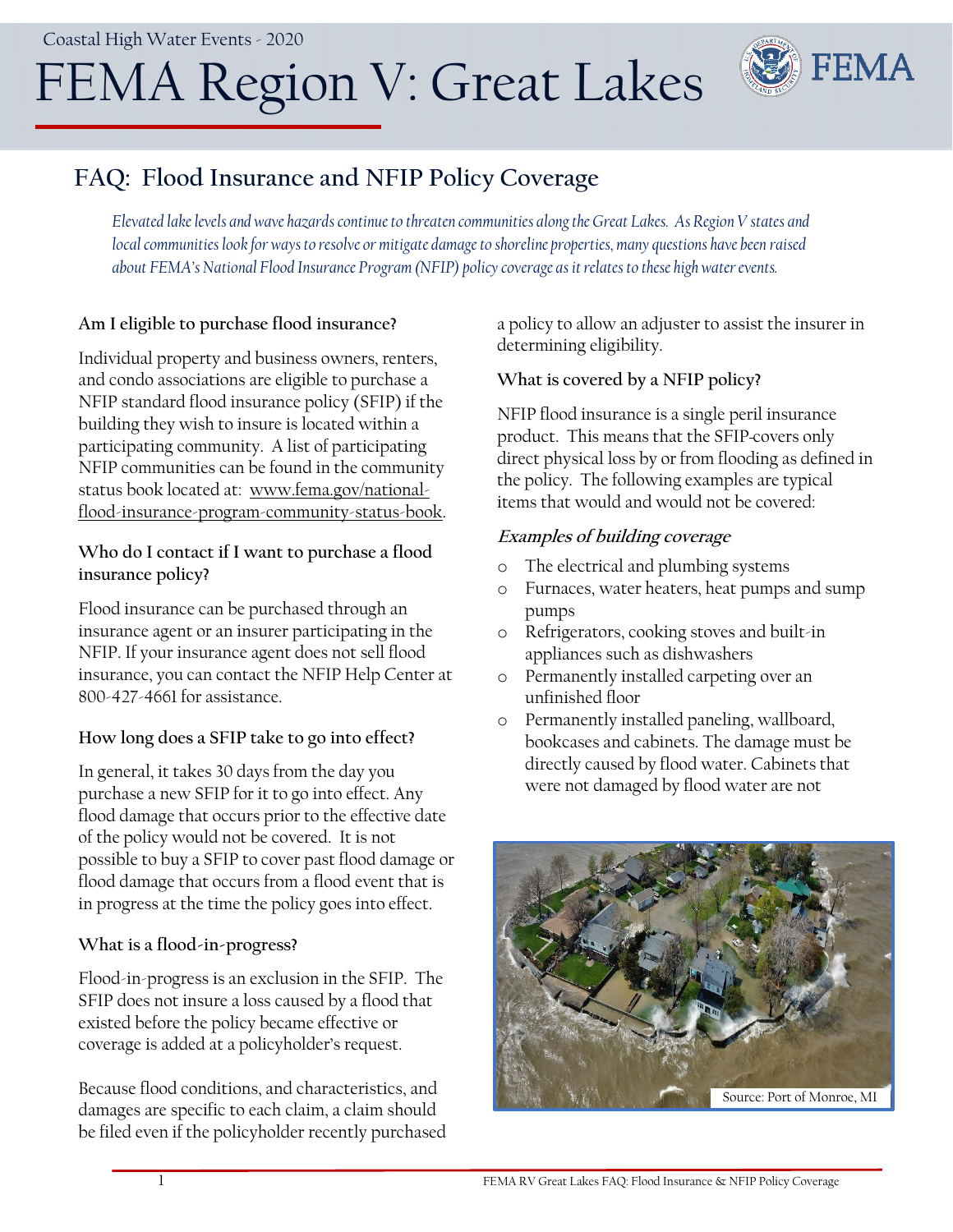# FEMA Region V: Great Lakes



# **FAQ: Flood Insurance and NFIP Policy Coverage**

*Elevated lake levels and wave hazards continue to threaten communities along the Great Lakes. As Region V states and local communities look for ways to resolve or mitigate damage to shoreline properties, many questions have been raised about FEMA's National Flood Insurance Program (NFIP) policy coverage as it relates to these high water events.* 

# **Am I eligible to purchase flood insurance?**

Individual property and business owners, renters, and condo associations are eligible to purchase a NFIP standard flood insurance policy (SFIP) if the building they wish to insure is located within a participating community. A list of participating NFIP communities can be found in the community status book located at: [www.fema.gov/national](http://www.fema.gov/national-flood-insurance-program-community-status-book)[flood-insurance-program-community-status-book.](http://www.fema.gov/national-flood-insurance-program-community-status-book)

# **Who do I contact if I want to purchase a flood insurance policy?**

Flood insurance can be purchased through an insurance agent or an insurer participating in the NFIP. If your insurance agent does not sell flood insurance, you can contact the NFIP Help Center at [800-427-4661](tel:18004274661) for assistance.

# **How long does a SFIP take to go into effect?**

In general, it takes 30 days from the day you purchase a new SFIP for it to go into effect. Any flood damage that occurs prior to the effective date of the policy would not be covered. It is not possible to buy a SFIP to cover past flood damage or flood damage that occurs from a flood event that is in progress at the time the policy goes into effect.

# **What is a flood-in-progress?**

Flood-in-progress is an exclusion in the SFIP. The SFIP does not insure a loss caused by a flood that existed before the policy became effective or coverage is added at a policyholder's request.

Because flood conditions, and characteristics, and damages are specific to each claim, a claim should be filed even if the policyholder recently purchased a policy to allow an adjuster to assist the insurer in determining eligibility.

# **What is covered by a NFIP policy?**

NFIP flood insurance is a single peril insurance product. This means that the SFIP covers only direct physical loss by or from flooding as defined in the policy. The following examples are typical items that would and would not be covered:

# **Examples of building coverage**

- o The electrical and plumbing systems
- o Furnaces, water heaters, heat pumps and sump pumps
- o Refrigerators, cooking stoves and built-in appliances such as dishwashers
- o Permanently installed carpeting over an unfinished floor
- o Permanently installed paneling, wallboard, bookcases and cabinets. The damage must be directly caused by flood water. Cabinets that were not damaged by flood water are not